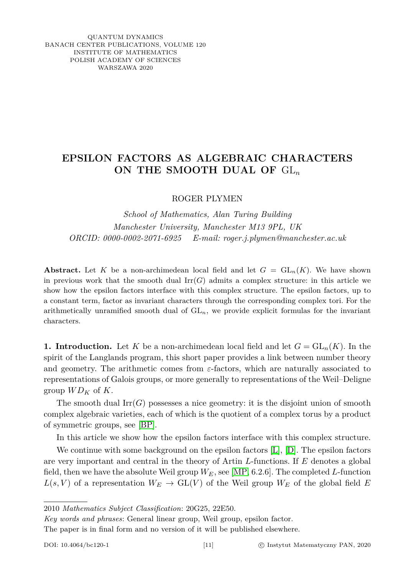## QUANTUM DYNAMICS BANACH CENTER PUBLICATIONS, VOLUME 120 INSTITUTE OF MATHEMATICS POLISH ACADEMY OF SCIENCES WARSZAWA 2020

## **EPSILON FACTORS AS ALGEBRAIC CHARACTERS ON THE SMOOTH DUAL OF** GL*<sup>n</sup>*

ROGER PLYMEN

*School of Mathematics, Alan Turing Building Manchester University, Manchester M13 9PL, UK ORCID: 0000-0002-2071-6925 E-mail: roger.j.plymen@manchester.ac.uk*

**Abstract.** Let *K* be a non-archimedean local field and let  $G = GL_n(K)$ . We have shown in previous work that the smooth dual  $\text{Irr}(G)$  admits a complex structure: in this article we show how the epsilon factors interface with this complex structure. The epsilon factors, up to a constant term, factor as invariant characters through the corresponding complex tori. For the arithmetically unramified smooth dual of  $GL_n$ , we provide explicit formulas for the invariant characters.

**1. Introduction.** Let *K* be a non-archimedean local field and let  $G = GL_n(K)$ . In the spirit of the Langlands program, this short paper provides a link between number theory and geometry. The arithmetic comes from *ε*-factors, which are naturally associated to representations of Galois groups, or more generally to representations of the Weil–Deligne group  $WD_K$  of K.

The smooth dual  $\mathrm{Irr}(G)$  possesses a nice geometry: it is the disjoint union of smooth complex algebraic varieties, each of which is the quotient of a complex torus by a product of symmetric groups, see [\[BP\]](#page-10-0).

In this article we show how the epsilon factors interface with this complex structure.

We continue with some background on the epsilon factors [\[L\]](#page-10-1), [\[D\]](#page-10-2). The epsilon factors are very important and central in the theory of Artin *L*-functions. If *E* denotes a global field, then we have the absolute Weil group *WE*, see [\[MP,](#page-10-3) 6.2.6]. The completed *L*-function  $L(s, V)$  of a representation  $W_E \to GL(V)$  of the Weil group  $W_E$  of the global field *E* 

The paper is in final form and no version of it will be published elsewhere.

<sup>2010</sup> *Mathematics Subject Classification*: 20G25, 22E50.

*Key words and phrases*: General linear group, Weil group, epsilon factor.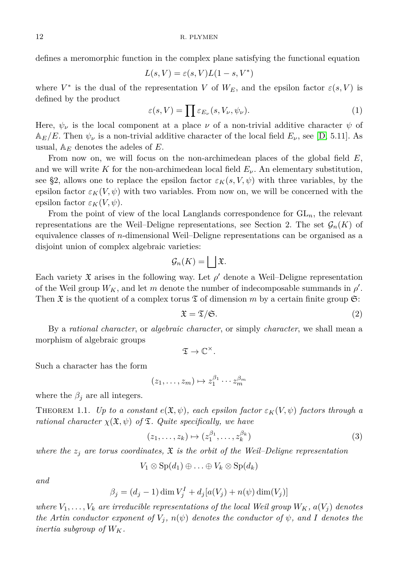defines a meromorphic function in the complex plane satisfying the functional equation

$$
L(s,V) = \varepsilon(s,V)L(1-s,V^*)
$$

where  $V^*$  is the dual of the representation *V* of  $W_E$ , and the epsilon factor  $\varepsilon(s, V)$  is defined by the product

$$
\varepsilon(s,V) = \prod \varepsilon_{E_{\nu}}(s,V_{\nu},\psi_{\nu}).
$$
\n(1)

Here,  $\psi_{\nu}$  is the local component at a place  $\nu$  of a non-trivial additive character  $\psi$  of  $\mathbb{A}_{E}/E$ . Then  $\psi_{\nu}$  is a non-trivial additive character of the local field  $E_{\nu}$ , see [\[D,](#page-10-2) 5.11]. As usual, A*<sup>E</sup>* denotes the adeles of *E*.

From now on, we will focus on the non-archimedean places of the global field *E*, and we will write K for the non-archimedean local field  $E_\nu$ . An elementary substitution, see §2, allows one to replace the epsilon factor  $\varepsilon_K(s, V, \psi)$  with three variables, by the epsilon factor  $\varepsilon_K(V,\psi)$  with two variables. From now on, we will be concerned with the epsilon factor  $\varepsilon_K(V,\psi)$ .

From the point of view of the local Langlands correspondence for GL*n*, the relevant representations are the Weil–Deligne representations, see Section 2. The set  $\mathcal{G}_n(K)$  of equivalence classes of *n*-dimensional Weil–Deligne representations can be organised as a disjoint union of complex algebraic varieties:

$$
\mathcal{G}_n(K) = \bigsqcup \mathfrak{X}.
$$

Each variety  $\mathfrak X$  arises in the following way. Let  $\rho'$  denote a Weil–Deligne representation of the Weil group  $W_K$ , and let *m* denote the number of indecomposable summands in  $\rho'$ . Then  $\mathfrak X$  is the quotient of a complex torus  $\mathfrak T$  of dimension *m* by a certain finite group  $\mathfrak S$ :

<span id="page-1-1"></span>
$$
\mathfrak{X} = \mathfrak{T}/\mathfrak{S}.\tag{2}
$$

By a *rational character*, or *algebraic character*, or simply *character*, we shall mean a morphism of algebraic groups

<span id="page-1-0"></span>
$$
\mathfrak{T} \to \mathbb{C}^{\times}.
$$

Such a character has the form

$$
(z_1,\ldots,z_m)\mapsto z_1^{\beta_1}\cdots z_m^{\beta_m}
$$

where the  $\beta_j$  are all integers.

<span id="page-1-2"></span>THEOREM 1.1. *Up to a constant*  $e(\mathfrak{X}, \psi)$ , each epsilon factor  $\varepsilon_K(V, \psi)$  factors through a *rational character*  $\chi(\mathfrak{X}, \psi)$  *of*  $\mathfrak{T}$ *. Quite specifically, we have* 

$$
(z_1, \ldots, z_k) \mapsto (z_1^{\beta_1}, \ldots, z_k^{\beta_k})
$$
\n
$$
(3)
$$

*where the*  $z_j$  are torus coordinates,  $\mathfrak X$  is the orbit of the Weil–Deligne representation

$$
V_1\otimes \mathrm{Sp}(d_1)\oplus \ldots \oplus V_k\otimes \mathrm{Sp}(d_k)
$$

*and*

$$
\beta_j = (d_j - 1) \dim V_j^I + d_j [a(V_j) + n(\psi) \dim(V_j)]
$$

*where*  $V_1, \ldots, V_k$  are irreducible representations of the local Weil group  $W_K$ ,  $a(V_i)$  denotes *the Artin conductor exponent of*  $V_j$ ,  $n(\psi)$  *denotes the conductor of*  $\psi$ , and *I* denotes the *inertia subgroup of*  $W_K$ .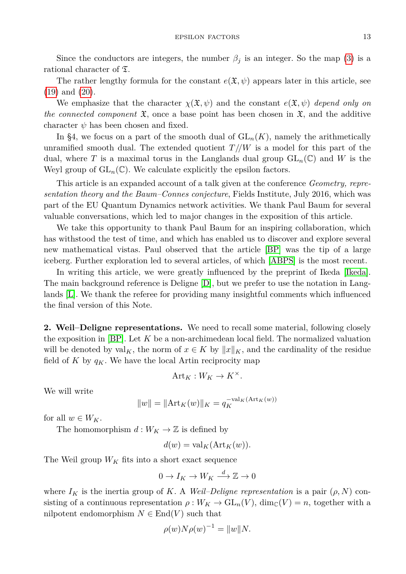Since the conductors are integers, the number  $\beta_j$  is an integer. So the map [\(3\)](#page-1-0) is a rational character of T.

The rather lengthy formula for the constant  $e(\mathfrak{X}, \psi)$  appears later in this article, see [\(19\)](#page-7-0) and [\(20\)](#page-7-1).

We emphasize that the character  $\chi(\mathfrak{X}, \psi)$  and the constant  $e(\mathfrak{X}, \psi)$  depend only on *the connected component*  $\mathfrak{X}$ , once a base point has been chosen in  $\mathfrak{X}$ , and the additive character  $\psi$  has been chosen and fixed.

In §4, we focus on a part of the smooth dual of  $GL_n(K)$ , namely the arithmetically unramified smooth dual. The extended quotient  $T // W$  is a model for this part of the dual, where T is a maximal torus in the Langlands dual group  $GL_n(\mathbb{C})$  and W is the Weyl group of  $GL_n(\mathbb{C})$ . We calculate explicitly the epsilon factors.

This article is an expanded account of a talk given at the conference *Geometry, representation theory and the Baum–Connes conjecture*, Fields Institute, July 2016, which was part of the EU Quantum Dynamics network activities. We thank Paul Baum for several valuable conversations, which led to major changes in the exposition of this article.

We take this opportunity to thank Paul Baum for an inspiring collaboration, which has withstood the test of time, and which has enabled us to discover and explore several new mathematical vistas. Paul observed that the article [\[BP\]](#page-10-0) was the tip of a large iceberg. Further exploration led to several articles, of which [\[ABPS\]](#page-10-4) is the most recent.

In writing this article, we were greatly influenced by the preprint of Ikeda [\[Ikeda\]](#page-10-5). The main background reference is Deligne [\[D\]](#page-10-2), but we prefer to use the notation in Langlands [\[L\]](#page-10-1). We thank the referee for providing many insightful comments which influenced the final version of this Note.

**2. Weil–Deligne representations.** We need to recall some material, following closely the exposition in [\[BP\]](#page-10-0). Let *K* be a non-archimedean local field. The normalized valuation will be denoted by  $\text{val}_K$ , the norm of  $x \in K$  by  $||x||_K$ , and the cardinality of the residue field of  $K$  by  $q_K$ . We have the local Artin reciprocity map

$$
\mathrm{Art}_K:W_K\to K^\times.
$$

We will write

$$
||w|| = ||\text{Art}_K(w)||_K = q_K^{-\text{val}_K(\text{Art}_K(w))}
$$

for all  $w \in W_K$ .

The homomorphism  $d: W_K \to \mathbb{Z}$  is defined by

$$
d(w) = \text{val}_K(\text{Art}_K(w)).
$$

The Weil group  $W_K$  fits into a short exact sequence

$$
0 \to I_K \to W_K \xrightarrow{d} \mathbb{Z} \to 0
$$

where  $I_K$  is the inertia group of K. A *Weil–Deligne representation* is a pair  $(\rho, N)$  consisting of a continuous representation  $\rho: W_K \to GL_n(V)$ , dim<sub>C</sub> $(V) = n$ , together with a nilpotent endomorphism  $N \in \text{End}(V)$  such that

$$
\rho(w)N\rho(w)^{-1} = ||w||N.
$$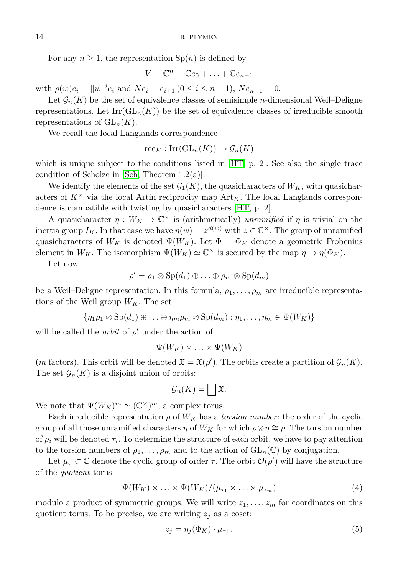For any  $n \geq 1$ , the representation  $\text{Sp}(n)$  is defined by

$$
V = \mathbb{C}^n = \mathbb{C}e_0 + \ldots + \mathbb{C}e_{n-1}
$$

with  $\rho(w)e_i = ||w||^i e_i$  and  $Ne_i = e_{i+1}$  ( $0 \le i \le n-1$ ),  $Ne_{n-1} = 0$ .

Let  $\mathcal{G}_n(K)$  be the set of equivalence classes of semisimple *n*-dimensional Weil–Deligne representations. Let  $\text{Irr}(\text{GL}_n(K))$  be the set of equivalence classes of irreducible smooth representations of  $GL_n(K)$ .

We recall the local Langlands correspondence

$$
\mathrm{rec}_K : \mathrm{Irr}(\mathrm{GL}_n(K)) \to \mathcal{G}_n(K)
$$

which is unique subject to the conditions listed in [\[HT,](#page-10-6) p. 2]. See also the single trace condition of Scholze in [\[Sch,](#page-10-7) Theorem 1.2(a)].

We identify the elements of the set  $\mathcal{G}_1(K)$ , the quasicharacters of  $W_K$ , with quasicharacters of  $K^{\times}$  via the local Artin reciprocity map  $\text{Art}_{K}$ . The local Langlands correspondence is compatible with twisting by quasicharacters [\[HT,](#page-10-6) p. 2].

A quasicharacter  $\eta: W_K \to \mathbb{C}^\times$  is (arithmetically) *unramified* if  $\eta$  is trivial on the inertia group  $I_K$ . In that case we have  $\eta(w) = z^{d(w)}$  with  $z \in \mathbb{C}^{\times}$ . The group of unramified quasicharacters of  $W_K$  is denoted  $\Psi(W_K)$ . Let  $\Phi = \Phi_K$  denote a geometric Frobenius element in  $W_K$ . The isomorphism  $\Psi(W_K) \simeq \mathbb{C}^\times$  is secured by the map  $\eta \mapsto \eta(\Phi_K)$ .

Let now

$$
\rho' = \rho_1 \otimes \mathrm{Sp}(d_1) \oplus \ldots \oplus \rho_m \otimes \mathrm{Sp}(d_m)
$$

be a Weil–Deligne representation. In this formula,  $\rho_1, \ldots, \rho_m$  are irreducible representations of the Weil group  $W_K$ . The set

 ${\eta_1 \rho_1 \otimes \text{Sp}(d_1) \oplus \ldots \oplus \eta_m \rho_m \otimes \text{Sp}(d_m): \eta_1, \ldots, \eta_m \in \Psi(W_K)}$ 

will be called the *orbit* of  $\rho'$  under the action of

$$
\Psi(W_K)\times\ldots\times\Psi(W_K)
$$

(*m* factors). This orbit will be denoted  $\mathfrak{X} = \mathfrak{X}(\rho')$ . The orbits create a partition of  $\mathcal{G}_n(K)$ . The set  $\mathcal{G}_n(K)$  is a disjoint union of orbits:

$$
\mathcal{G}_n(K) = \bigsqcup \mathfrak{X}.
$$

We note that  $\Psi(W_K)^m \simeq (\mathbb{C}^\times)^m$ , a complex torus.

Each irreducible representation  $\rho$  of  $W_K$  has a *torsion number*: the order of the cyclic group of all those unramified characters *η* of  $W_K$  for which  $\rho \otimes \eta \cong \rho$ . The torsion number of  $\rho_i$  will be denoted  $\tau_i$ . To determine the structure of each orbit, we have to pay attention to the torsion numbers of  $\rho_1, \ldots, \rho_m$  and to the action of  $GL_n(\mathbb{C})$  by conjugation.

Let  $\mu_{\tau} \subset \mathbb{C}$  denote the cyclic group of order  $\tau$ . The orbit  $\mathcal{O}(\rho')$  will have the structure of the *quotient* torus

<span id="page-3-0"></span>
$$
\Psi(W_K) \times \ldots \times \Psi(W_K) / (\mu_{\tau_1} \times \ldots \times \mu_{\tau_m})
$$
\n(4)

modulo a product of symmetric groups. We will write  $z_1, \ldots, z_m$  for coordinates on this quotient torus. To be precise, we are writing  $z_j$  as a coset:

<span id="page-3-1"></span>
$$
z_j = \eta_j(\Phi_K) \cdot \mu_{\tau_j} \,. \tag{5}
$$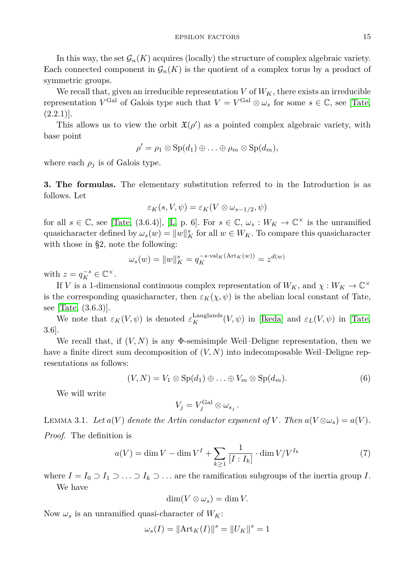In this way, the set  $\mathcal{G}_n(K)$  acquires (locally) the structure of complex algebraic variety. Each connected component in  $\mathcal{G}_n(K)$  is the quotient of a complex torus by a product of symmetric groups.

We recall that, given an irreducible representation  $V$  of  $W_K$ , there exists an irreducible representation  $V^{\text{Gal}}$  of Galois type such that  $V = V^{\text{Gal}} \otimes \omega_s$  for some  $s \in \mathbb{C}$ , see [\[Tate,](#page-10-8)  $(2.2.1)$ .

This allows us to view the orbit  $\mathfrak{X}(\rho')$  as a pointed complex algebraic variety, with base point

$$
\rho' = \rho_1 \otimes \mathrm{Sp}(d_1) \oplus \ldots \oplus \rho_m \otimes \mathrm{Sp}(d_m),
$$

where each  $\rho_i$  is of Galois type.

**3. The formulas.** The elementary substitution referred to in the Introduction is as follows. Let

$$
\varepsilon_K(s, V, \psi) = \varepsilon_K(V \otimes \omega_{s-1/2}, \psi)
$$

for all  $s \in \mathbb{C}$ , see [\[Tate,](#page-10-8) (3.6.4)], [\[L,](#page-10-1) p. 6]. For  $s \in \mathbb{C}$ ,  $\omega_s : W_K \to \mathbb{C}^\times$  is the unramified quasicharacter defined by  $\omega_s(w) = ||w||_K^s$  for all  $w \in W_K$ . To compare this quasicharacter with those in §2, note the following:

$$
\omega_s(w) = ||w||_K^s = q_K^{-s \cdot \text{val}_K(\text{Art}_K(w))} = z^{d(w)}
$$

with  $z = q_K^{-s} \in \mathbb{C}^\times$ .

If *V* is a 1-dimensional continuous complex representation of  $W_K$ , and  $\chi : W_K \to \mathbb{C}^\times$ is the corresponding quasicharacter, then  $\varepsilon_K(\chi, \psi)$  is the abelian local constant of Tate, see [\[Tate,](#page-10-8) (3.6.3)].

We note that  $\varepsilon_K(V,\psi)$  is denoted  $\varepsilon_K^{\text{Langlands}}(V,\psi)$  in [\[Ikeda\]](#page-10-5) and  $\varepsilon_L(V,\psi)$  in [\[Tate,](#page-10-8) 3.6].

We recall that, if  $(V, N)$  is any  $\Phi$ -semisimple Weil–Deligne representation, then we have a finite direct sum decomposition of (*V, N*) into indecomposable Weil–Deligne representations as follows:

<span id="page-4-1"></span>
$$
(V, N) = V_1 \otimes \mathrm{Sp}(d_1) \oplus \ldots \oplus V_m \otimes \mathrm{Sp}(d_m).
$$
 (6)

We will write

$$
V_j = V_j^{\rm Gal} \otimes \omega_{s_j} .
$$

<span id="page-4-2"></span>LEMMA 3.1. Let  $a(V)$  denote the Artin conductor exponent of V. Then  $a(V \otimes \omega_s) = a(V)$ . *Proof.* The definition is

<span id="page-4-0"></span>
$$
a(V) = \dim V - \dim V^I + \sum_{k \ge 1} \frac{1}{[I : I_k]} \cdot \dim V / V^{I_k}
$$
 (7)

where  $I = I_0 \supset I_1 \supset \ldots \supset I_k \supset \ldots$  are the ramification subgroups of the inertia group *I*. We have

$$
\dim(V \otimes \omega_s) = \dim V.
$$

Now  $\omega_s$  is an unramified quasi-character of  $W_K$ :

$$
\omega_s(I) = \|\text{Art}_K(I)\|^s = \|U_K\|^s = 1
$$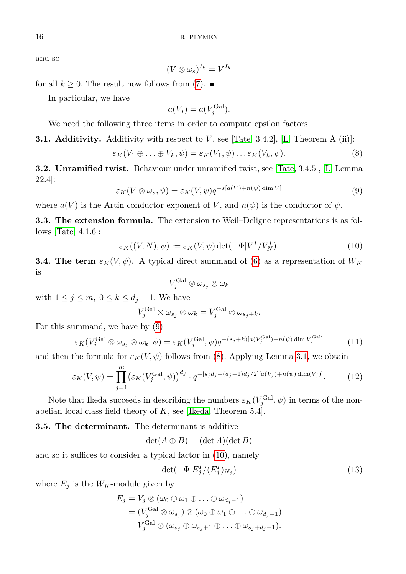and so

$$
(V\otimes\omega_s)^{I_k}=V^{I_k}
$$

for all  $k \geq 0$ . The result now follows from [\(7\)](#page-4-0).

In particular, we have

<span id="page-5-1"></span>
$$
a(V_j) = a(V_j^{\text{Gal}}).
$$

We need the following three items in order to compute epsilon factors.

**3.1. Additivity.** Additivity with respect to *V* , see [\[Tate,](#page-10-8) 3.4.2], [\[L,](#page-10-1) Theorem A (ii)]:

$$
\varepsilon_K(V_1 \oplus \ldots \oplus V_k, \psi) = \varepsilon_K(V_1, \psi) \ldots \varepsilon_K(V_k, \psi).
$$
\n(8)

<span id="page-5-0"></span>**3.2. Unramified twist.** Behaviour under unramified twist, see [\[Tate,](#page-10-8) 3.4.5], [\[L,](#page-10-1) Lemma 22.4]:

$$
\varepsilon_K(V \otimes \omega_s, \psi) = \varepsilon_K(V, \psi) q^{-s[a(V) + n(\psi) \dim V]}
$$
\n(9)

where  $a(V)$  is the Artin conductor exponent of V, and  $n(\psi)$  is the conductor of  $\psi$ .

**3.3. The extension formula.** The extension to Weil–Deligne representations is as follows [\[Tate,](#page-10-8) 4.1.6]:

<span id="page-5-2"></span>
$$
\varepsilon_K((V, N), \psi) := \varepsilon_K(V, \psi) \det(-\Phi|V^I/V_N^I). \tag{10}
$$

**3.4.** The term  $\varepsilon_K(V,\psi)$ . A typical direct summand of [\(6\)](#page-4-1) as a representation of  $W_K$ is

<span id="page-5-3"></span>
$$
V_{j}^{\operatorname{Gal}}\otimes\omega_{s_{j}}\otimes\omega_{k}
$$

with  $1 \leq j \leq m$ ,  $0 \leq k \leq d_j - 1$ . We have

$$
V_j^{\operatorname{Gal}} \otimes \omega_{s_j} \otimes \omega_k = V_j^{\operatorname{Gal}} \otimes \omega_{s_j + k}.
$$

For this summand, we have by [\(9\)](#page-5-0)

$$
\varepsilon_K(V_j^{\text{Gal}} \otimes \omega_{s_j} \otimes \omega_k, \psi) = \varepsilon_K(V_j^{\text{Gal}}, \psi)q^{-(s_j+k)[a(V_j^{\text{Gal}})+n(\psi)\dim V_j^{\text{Gal}}]} \tag{11}
$$

and then the formula for  $\varepsilon_K(V,\psi)$  follows from [\(8\)](#page-5-1). Applying Lemma [3.1,](#page-4-2) we obtain

$$
\varepsilon_K(V,\psi) = \prod_{j=1}^m \left(\varepsilon_K(V_j^{\text{Gal}}, \psi)\right)^{d_j} \cdot q^{-[s_j d_j + (d_j - 1)d_j/2][a(V_j) + n(\psi)\dim(V_j)]}. \tag{12}
$$

Note that Ikeda succeeds in describing the numbers  $\varepsilon_K(V_j^{\text{Gal}}, \psi)$  in terms of the nonabelian local class field theory of *K*, see [\[Ikeda,](#page-10-5) Theorem 5.4].

**3.5. The determinant.** The determinant is additive

 $\det(A \oplus B) = (\det A)(\det B)$ 

and so it suffices to consider a typical factor in [\(10\)](#page-5-2), namely

$$
\det(-\Phi | E_j^I / (E_j^I)_{N_j})\tag{13}
$$

where  $E_j$  is the  $W_K$ -module given by

$$
E_j = V_j \otimes (\omega_0 \oplus \omega_1 \oplus \ldots \oplus \omega_{d_j - 1})
$$
  
=  $(V_j^{\text{Gal}} \otimes \omega_{s_j}) \otimes (\omega_0 \oplus \omega_1 \oplus \ldots \oplus \omega_{d_j - 1})$   
=  $V_j^{\text{Gal}} \otimes (\omega_{s_j} \oplus \omega_{s_j + 1} \oplus \ldots \oplus \omega_{s_j + d_j - 1}).$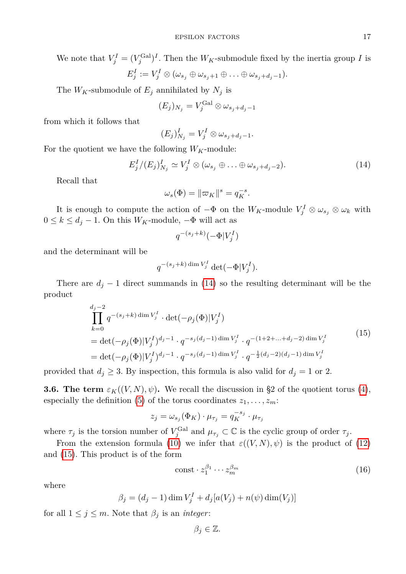We note that  $V_j^I = (V_j^{\text{Gal}})^I$ . Then the  $W_K$ -submodule fixed by the inertia group *I* is  $E_j^I := V_j^I \otimes (\omega_{s_j} \oplus \omega_{s_j+1} \oplus \ldots \oplus \omega_{s_j+d_j-1}).$ 

The  $W_K$ -submodule of  $E_j$  annihilated by  $N_j$  is

$$
(E_j)_{N_j} = V_j^{\text{Gal}} \otimes \omega_{s_j + d_j - 1}
$$

from which it follows that

<span id="page-6-0"></span>
$$
(E_j)_{N_j}^I = V_j^I \otimes \omega_{s_j + d_j - 1}.
$$

For the quotient we have the following  $W_K$ -module:

$$
E_j^I/(E_j)_{N_j}^I \simeq V_j^I \otimes (\omega_{s_j} \oplus \ldots \oplus \omega_{s_j + d_j - 2}). \tag{14}
$$

Recall that

$$
\omega_s(\Phi) = \|\varpi_K\|^s = q_K^{-s}.
$$

It is enough to compute the action of  $-\Phi$  on the  $W_K$ -module  $V_j^I \otimes \omega_{s_j} \otimes \omega_k$  with 0 ≤  $k$  ≤  $d_j$  − 1. On this  $W_K$ -module,  $-\Phi$  will act as

$$
q^{-(s_j+k)}(-\Phi|V_j^I)
$$

and the determinant will be

$$
q^{-(s_j+k)\dim V_j^I} \det(-\Phi|V_j^I).
$$

There are  $d_j - 1$  direct summands in [\(14\)](#page-6-0) so the resulting determinant will be the product

<span id="page-6-1"></span>
$$
\prod_{k=0}^{d_j-2} q^{-(s_j+k) \dim V_j^I} \cdot \det(-\rho_j(\Phi)|V_j^I)
$$
\n
$$
= \det(-\rho_j(\Phi)|V_j^I)^{d_j-1} \cdot q^{-s_j(d_j-1) \dim V_j^I} \cdot q^{-(1+2+\dots+d_j-2) \dim V_j^I}
$$
\n
$$
= \det(-\rho_j(\Phi)|V_j^I)^{d_j-1} \cdot q^{-s_j(d_j-1) \dim V_j^I} \cdot q^{-\frac{1}{2}(d_j-2)(d_j-1) \dim V_j^I}
$$
\n(15)

provided that  $d_j \geq 3$ . By inspection, this formula is also valid for  $d_j = 1$  or 2.

**3.6. The term**  $\varepsilon_K((V, N), \psi)$ . We recall the discussion in §2 of the quotient torus [\(4\)](#page-3-0), especially the definition [\(5\)](#page-3-1) of the torus coordinates  $z_1, \ldots, z_m$ :

$$
z_j = \omega_{s_j}(\Phi_K) \cdot \mu_{\tau_j} = q_K^{-s_j} \cdot \mu_{\tau_j}
$$

where  $\tau_j$  is the torsion number of  $V_j^{\text{Gal}}$  and  $\mu_{\tau_j} \subset \mathbb{C}$  is the cyclic group of order  $\tau_j$ .

From the extension formula [\(10\)](#page-5-2) we infer that  $\varepsilon((V, N), \psi)$  is the product of [\(12\)](#page-5-3) and [\(15\)](#page-6-1). This product is of the form

<span id="page-6-2"></span>
$$
\text{const} \cdot z_1^{\beta_1} \cdots z_m^{\beta_m} \tag{16}
$$

where

$$
\beta_j = (d_j - 1) \dim V_j^I + d_j [a(V_j) + n(\psi) \dim(V_j)]
$$

for all  $1 \leq j \leq m$ . Note that  $\beta_j$  is an *integer*:

$$
\beta_j\in\mathbb{Z}.
$$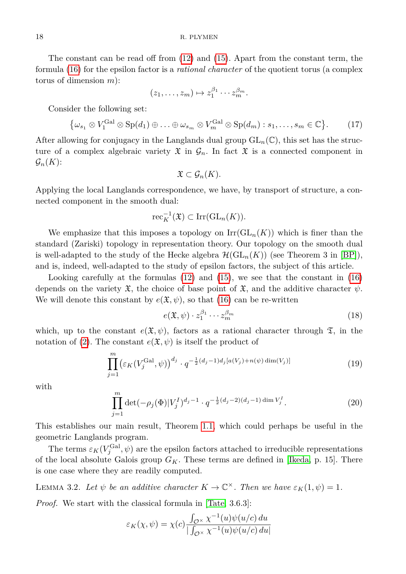The constant can be read off from [\(12\)](#page-5-3) and [\(15\)](#page-6-1). Apart from the constant term, the formula [\(16\)](#page-6-2) for the epsilon factor is a *rational character* of the quotient torus (a complex torus of dimension *m*):

$$
(z_1,\ldots,z_m)\mapsto z_1^{\beta_1}\cdots z_m^{\beta_m}.
$$

Consider the following set:

$$
\{\omega_{s_1} \otimes V_1^{\text{Gal}} \otimes \text{Sp}(d_1) \oplus \ldots \oplus \omega_{s_m} \otimes V_m^{\text{Gal}} \otimes \text{Sp}(d_m) : s_1, \ldots, s_m \in \mathbb{C}\}.
$$
 (17)

After allowing for conjugacy in the Langlands dual group  $GL_n(\mathbb{C})$ , this set has the structure of a complex algebraic variety  $\mathfrak X$  in  $\mathcal G_n$ . In fact  $\mathfrak X$  is a connected component in  $\mathcal{G}_n(K)$ :

$$
\mathfrak{X}\subset \mathcal{G}_n(K).
$$

Applying the local Langlands correspondence, we have, by transport of structure, a connected component in the smooth dual:

$$
\mathrm{rec}_{K}^{-1}(\mathfrak{X}) \subset \mathrm{Irr}(\mathrm{GL}_{n}(K)).
$$

We emphasize that this imposes a topology on  $\mathrm{Irr}(\mathrm{GL}_n(K))$  which is finer than the standard (Zariski) topology in representation theory. Our topology on the smooth dual is well-adapted to the study of the Hecke algebra  $\mathcal{H}(\mathrm{GL}_n(K))$  (see Theorem 3 in [\[BP\]](#page-10-0)), and is, indeed, well-adapted to the study of epsilon factors, the subject of this article.

Looking carefully at the formulas [\(12\)](#page-5-3) and [\(15\)](#page-6-1), we see that the constant in [\(16\)](#page-6-2) depends on the variety  $\mathfrak{X}$ , the choice of base point of  $\mathfrak{X}$ , and the additive character  $\psi$ . We will denote this constant by  $e(\mathfrak{X}, \psi)$ , so that [\(16\)](#page-6-2) can be re-written

<span id="page-7-0"></span>
$$
e(\mathfrak{X}, \psi) \cdot z_1^{\beta_1} \cdots z_m^{\beta_m} \tag{18}
$$

which, up to the constant  $e(\mathfrak{X}, \psi)$ , factors as a rational character through  $\mathfrak{T}$ , in the notation of [\(2\)](#page-1-1). The constant  $e(\mathfrak{X}, \psi)$  is itself the product of

$$
\prod_{j=1}^{m} \left(\varepsilon_K(V_j^{\text{Gal}}, \psi)\right)^{d_j} \cdot q^{-\frac{1}{2}(d_j - 1)d_j[a(V_j) + n(\psi)\dim(V_j)]}\tag{19}
$$

<span id="page-7-1"></span>with

$$
\prod_{j=1}^{m} \det(-\rho_j(\Phi)|V_j^I)^{d_j-1} \cdot q^{-\frac{1}{2}(d_j-2)(d_j-1)\dim V_j^I}.
$$
\n(20)

This establishes our main result, Theorem [1.1,](#page-1-2) which could perhaps be useful in the geometric Langlands program.

The terms  $\varepsilon_K(V_j^{\text{Gal}}, \psi)$  are the epsilon factors attached to irreducible representations of the local absolute Galois group  $G_K$ . These terms are defined in [\[Ikeda,](#page-10-5) p. 15]. There is one case where they are readily computed.

<span id="page-7-2"></span>**LEMMA** 3.2. Let  $\psi$  be an additive character  $K \to \mathbb{C}^{\times}$ . Then we have  $\varepsilon_K(1,\psi) = 1$ .

*Proof.* We start with the classical formula in [\[Tate,](#page-10-8) 3.6.3]:

$$
\varepsilon_K(\chi, \psi) = \chi(c) \frac{\int_{\mathcal{O}^\times} \chi^{-1}(u) \psi(u/c) du}{\int_{\mathcal{O}^\times} \chi^{-1}(u) \psi(u/c) du}
$$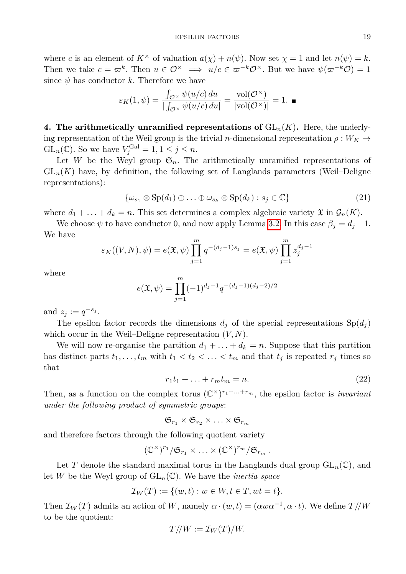where *c* is an element of  $K^{\times}$  of valuation  $a(\chi) + n(\psi)$ . Now set  $\chi = 1$  and let  $n(\psi) = k$ . Then we take  $c = \varpi^k$ . Then  $u \in \mathcal{O}^\times \implies u/c \in \varpi^{-k} \mathcal{O}^\times$ . But we have  $\psi(\varpi^{-k} \mathcal{O}) = 1$ since  $\psi$  has conductor  $k$ . Therefore we have

$$
\varepsilon_K(1,\psi) = \frac{\int_{\mathcal{O}^\times} \psi(u/c) \, du}{|\int_{\mathcal{O}^\times} \psi(u/c) \, du|} = \frac{\text{vol}(\mathcal{O}^\times)}{|\text{vol}(\mathcal{O}^\times)|} = 1. \blacksquare
$$

**4. The arithmetically unramified representations of**  $GL_n(K)$ **.** Here, the underlying representation of the Weil group is the trivial *n*-dimensional representation  $\rho: W_K \to$ GL<sub>n</sub>( $\mathbb{C}$ ). So we have  $V_j^{\text{Gal}} = 1, 1 \le j \le n$ .

Let *W* be the Weyl group  $\mathfrak{S}_n$ . The arithmetically unramified representations of  $GL_n(K)$  have, by definition, the following set of Langlands parameters (Weil–Deligne representations):

$$
\{\omega_{s_1} \otimes \text{Sp}(d_1) \oplus \ldots \oplus \omega_{s_k} \otimes \text{Sp}(d_k) : s_j \in \mathbb{C}\}\
$$
\n(21)

where  $d_1 + \ldots + d_k = n$ . This set determines a complex algebraic variety  $\mathfrak{X}$  in  $\mathcal{G}_n(K)$ .

We choose  $\psi$  to have conductor 0, and now apply Lemma [3.2.](#page-7-2) In this case  $\beta_j = d_j - 1$ . We have

$$
\varepsilon_K((V, N), \psi) = e(\mathfrak{X}, \psi) \prod_{j=1}^m q^{-(d_j - 1)s_j} = e(\mathfrak{X}, \psi) \prod_{j=1}^m z_j^{d_j - 1}
$$

where

$$
e(\mathfrak{X}, \psi) = \prod_{j=1}^{m} (-1)^{d_j - 1} q^{-(d_j - 1)(d_j - 2)/2}
$$

and  $z_j := q^{-s_j}$ .

The epsilon factor records the dimensions  $d_i$  of the special representations  $Sp(d_i)$ which occur in the Weil–Deligne representation (*V, N*).

<span id="page-8-0"></span>We will now re-organise the partition  $d_1 + \ldots + d_k = n$ . Suppose that this partition has distinct parts  $t_1, \ldots, t_m$  with  $t_1 < t_2 < \ldots < t_m$  and that  $t_j$  is repeated  $r_j$  times so that

$$
r_1t_1 + \ldots + r_mt_m = n. \tag{22}
$$

Then, as a function on the complex torus  $(\mathbb{C}^\times)^{r_1+\ldots+r_m}$ , the epsilon factor is *invariant under the following product of symmetric groups*:

$$
\mathfrak{S}_{r_1}\times\mathfrak{S}_{r_2}\times\ldots\times\mathfrak{S}_{r_m}
$$

and therefore factors through the following quotient variety

$$
(\mathbb{C}^{\times})^{r_1}/\mathfrak{S}_{r_1}\times\ldots\times(\mathbb{C}^{\times})^{r_m}/\mathfrak{S}_{r_m}.
$$

Let *T* denote the standard maximal torus in the Langlands dual group  $GL_n(\mathbb{C})$ , and let *W* be the Weyl group of  $GL_n(\mathbb{C})$ . We have the *inertia space* 

$$
\mathcal{I}_W(T) := \{ (w, t) : w \in W, t \in T, wt = t \}.
$$

Then  $\mathcal{I}_W(T)$  admits an action of *W*, namely  $\alpha \cdot (w, t) = (\alpha w \alpha^{-1}, \alpha \cdot t)$ . We define  $T / / W$ to be the quotient:

$$
T/\!/W:=\mathcal{I}_W(T)/W.
$$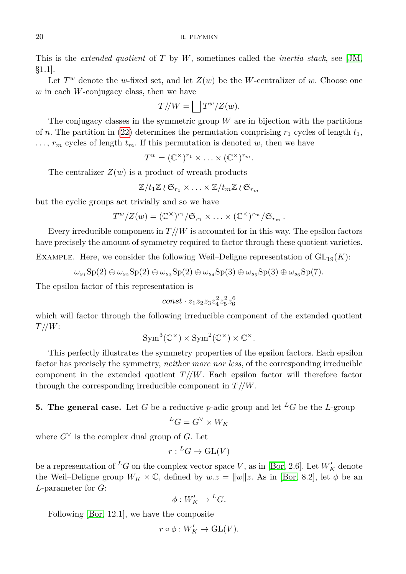This is the *extended quotient* of *T* by *W*, sometimes called the *inertia stack*, see [\[JM,](#page-10-9) §1.1].

Let  $T^w$  denote the *w*-fixed set, and let  $Z(w)$  be the *W*-centralizer of *w*. Choose one *w* in each *W*-conjugacy class, then we have

$$
T/\!/W = \bigsqcup T^w/Z(w).
$$

The conjugacy classes in the symmetric group *W* are in bijection with the partitions of *n*. The partition in [\(22\)](#page-8-0) determines the permutation comprising  $r_1$  cycles of length  $t_1$ ,  $\ldots$ ,  $r_m$  cycles of length  $t_m$ . If this permutation is denoted *w*, then we have

 $T^w = (\mathbb{C}^\times)^{r_1} \times \ldots \times (\mathbb{C}^\times)^{r_m}.$ 

The centralizer  $Z(w)$  is a product of wreath products

$$
\mathbb{Z}/t_1\mathbb{Z}\wr\mathfrak{S}_{r_1}\times\ldots\times\mathbb{Z}/t_m\mathbb{Z}\wr\mathfrak{S}_{r_m}
$$

but the cyclic groups act trivially and so we have

$$
T^w/Z(w) = (\mathbb{C}^\times)^{r_1}/\mathfrak{S}_{r_1} \times \ldots \times (\mathbb{C}^\times)^{r_m}/\mathfrak{S}_{r_m}.
$$

Every irreducible component in  $T//W$  is accounted for in this way. The epsilon factors have precisely the amount of symmetry required to factor through these quotient varieties.

EXAMPLE. Here, we consider the following Weil–Deligne representation of  $GL_{19}(K)$ :

 $\omega_{s_1}$ Sp(2)  $\oplus \omega_{s_2}$ Sp(2)  $\oplus \omega_{s_3}$ Sp(3)  $\oplus \omega_{s_4}$ Sp(3)  $\oplus \omega_{s_6}$ Sp(7)*.* 

The epsilon factor of this representation is

$$
const \cdot z_1 z_2 z_3 z_4^2 z_5^2 z_6^6
$$

which will factor through the following irreducible component of the extended quotient *T //W*:

$$
Sym^3(\mathbb{C}^\times) \times Sym^2(\mathbb{C}^\times) \times \mathbb{C}^\times.
$$

This perfectly illustrates the symmetry properties of the epsilon factors. Each epsilon factor has precisely the symmetry, *neither more nor less*, of the corresponding irreducible component in the extended quotient  $T/\sqrt{W}$ . Each epsilon factor will therefore factor through the corresponding irreducible component in *T //W*.

## **5. The general case.** Let *G* be a reductive *p*-adic group and let <sup>*L*</sup>*G* be the *L*-group

$$
{}^LG=G^\vee\rtimes W_K
$$

where  $G^{\vee}$  is the complex dual group of *G*. Let

$$
r: {}^L G \to \mathrm{GL}(V)
$$

be a representation of <sup>L</sup>*G* on the complex vector space *V*, as in [\[Bor,](#page-10-10) 2.6]. Let  $W'_{K}$  denote the Weil–Deligne group  $W_K \ltimes \mathbb{C}$ , defined by  $w.z = ||w||z$ . As in [\[Bor,](#page-10-10) 8.2], let  $\phi$  be an *L*-parameter for *G*:

$$
\phi: W'_K \to {}^L G.
$$

Following [\[Bor,](#page-10-10) 12.1], we have the composite

$$
r\circ \phi: W'_K\to \operatorname{GL}(V).
$$